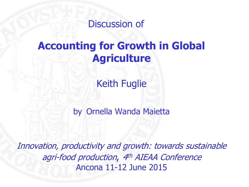Discussion of

# **Accounting for Growth in Global Agriculture**

Keith Fuglie

by Ornella Wanda Maietta

Innovation, productivity and growth: towards sustainable agri-food production, 4<sup>th</sup> AIEAA Conference Ancona 11-12 June 2015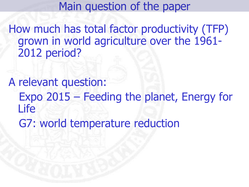Main question of the paper

How much has total factor productivity (TFP) grown in world agriculture over the 1961- 2012 period?

A relevant question: Expo 2015 – Feeding the planet, Energy for Life G7: world temperature reduction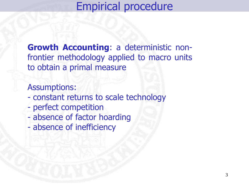Empirical procedure

**Growth Accounting**: a deterministic nonfrontier methodology applied to macro units to obtain a primal measure

Assumptions:

- constant returns to scale technology
- perfect competition
- absence of factor hoarding
- absence of inefficiency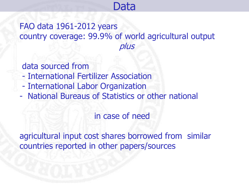# Data

#### FAO data 1961-2012 years country coverage: 99.9% of world agricultural output plus

data sourced from

- International Fertilizer Association
- International Labor Organization
- National Bureaus of Statistics or other national

in case of need

agricultural input cost shares borrowed from similar countries reported in other papers/sources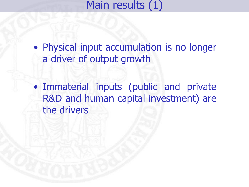Main results (1)

• Physical input accumulation is no longer a driver of output growth

• Immaterial inputs (public and private R&D and human capital investment) are the drivers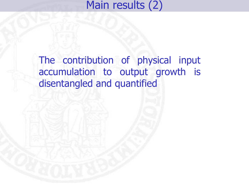# Main results (2)

# The contribution of physical input accumulation to output growth is disentangled and quantified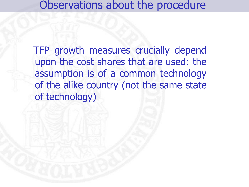## Observations about the procedure

 TFP growth measures crucially depend upon the cost shares that are used: the assumption is of a common technology of the alike country (not the same state of technology)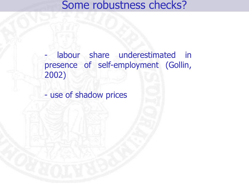### Some robustness checks?

labour share underestimated in presence of self-employment (Gollin, 2002)

- use of shadow prices